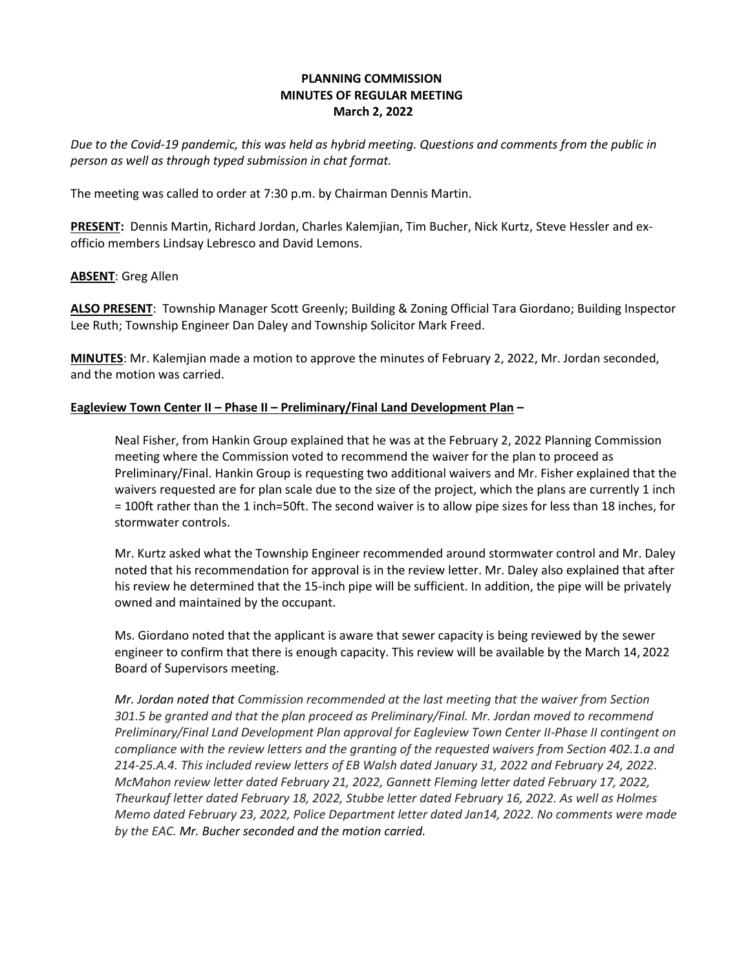# **PLANNING COMMISSION MINUTES OF REGULAR MEETING March 2, 2022**

*Due to the Covid-19 pandemic, this was held as hybrid meeting. Questions and comments from the public in person as well as through typed submission in chat format.*

The meeting was called to order at 7:30 p.m. by Chairman Dennis Martin. 

**PRESENT:**  Dennis Martin, Richard Jordan, Charles Kalemjian, Tim Bucher, Nick Kurtz, Steve Hessler and exofficio members Lindsay Lebresco and David Lemons. 

## **ABSENT**: Greg Allen

**ALSO PRESENT**:  Township Manager Scott Greenly; Building & Zoning Official Tara Giordano; Building Inspector Lee Ruth; Township Engineer Dan Daley and Township Solicitor Mark Freed. 

**MINUTES**: Mr. Kalemjian made a motion to approve the minutes of February 2, 2022, Mr. Jordan seconded, and the motion was carried. 

#### **Eagleview Town Center II – Phase II – Preliminary/Final Land Development Plan –**

Neal Fisher, from Hankin Group explained that he was at the February 2, 2022 Planning Commission meeting where the Commission voted to recommend the waiver for the plan to proceed as Preliminary/Final. Hankin Group is requesting two additional waivers and Mr. Fisher explained that the waivers requested are for plan scale due to the size of the project, which the plans are currently 1 inch = 100ft rather than the 1 inch=50ft. The second waiver is to allow pipe sizes for less than 18 inches, for stormwater controls.

Mr. Kurtz asked what the Township Engineer recommended around stormwater control and Mr. Daley noted that his recommendation for approval is in the review letter. Mr. Daley also explained that after his review he determined that the 15-inch pipe will be sufficient. In addition, the pipe will be privately owned and maintained by the occupant.

Ms. Giordano noted that the applicant is aware that sewer capacity is being reviewed by the sewer engineer to confirm that there is enough capacity. This review will be available by the March 14, 2022 Board of Supervisors meeting.

*Mr. Jordan noted that Commission recommended at the last meeting that the waiver from Section 301.5 be granted and that the plan proceed as Preliminary/Final. Mr. Jordan moved to recommend Preliminary/Final Land Development Plan approval for Eagleview Town Center II-Phase II contingent on compliance with the review letters and the granting of the requested waivers from Section 402.1.a and 214-25.A.4. This included review letters of EB Walsh dated January 31, 2022 and February 24, 2022. McMahon review letter dated February 21, 2022, Gannett Fleming letter dated February 17, 2022, Theurkauf letter dated February 18, 2022, Stubbe letter dated February 16, 2022. As well as Holmes Memo dated February 23, 2022, Police Department letter dated Jan14, 2022. No comments were made by the EAC. Mr. Bucher seconded and the motion carried.*